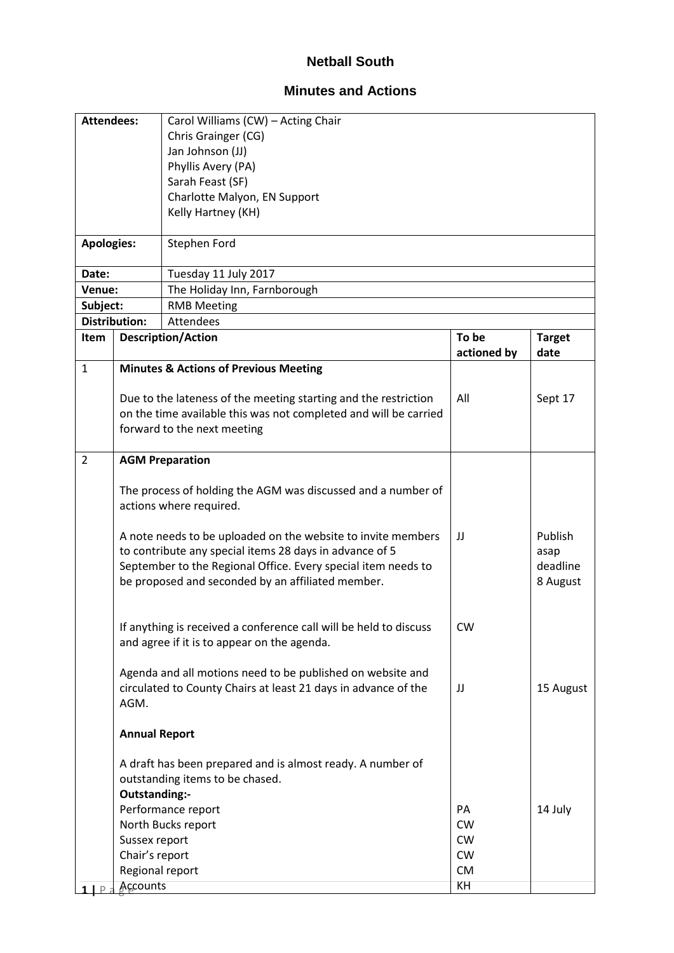## **Netball South**

## **Minutes and Actions**

| <b>Attendees:</b> |                                                                                                                                                                                                                                               | Carol Williams (CW) - Acting Chair                                                                                                                                 |             |                                         |  |  |
|-------------------|-----------------------------------------------------------------------------------------------------------------------------------------------------------------------------------------------------------------------------------------------|--------------------------------------------------------------------------------------------------------------------------------------------------------------------|-------------|-----------------------------------------|--|--|
|                   |                                                                                                                                                                                                                                               | Chris Grainger (CG)                                                                                                                                                |             |                                         |  |  |
|                   |                                                                                                                                                                                                                                               | Jan Johnson (JJ)                                                                                                                                                   |             |                                         |  |  |
|                   |                                                                                                                                                                                                                                               | Phyllis Avery (PA)                                                                                                                                                 |             |                                         |  |  |
|                   |                                                                                                                                                                                                                                               | Sarah Feast (SF)                                                                                                                                                   |             |                                         |  |  |
|                   |                                                                                                                                                                                                                                               | Charlotte Malyon, EN Support                                                                                                                                       |             |                                         |  |  |
|                   |                                                                                                                                                                                                                                               | Kelly Hartney (KH)                                                                                                                                                 |             |                                         |  |  |
|                   |                                                                                                                                                                                                                                               |                                                                                                                                                                    |             |                                         |  |  |
| <b>Apologies:</b> |                                                                                                                                                                                                                                               | Stephen Ford                                                                                                                                                       |             |                                         |  |  |
| Date:             |                                                                                                                                                                                                                                               | Tuesday 11 July 2017                                                                                                                                               |             |                                         |  |  |
| Venue:            |                                                                                                                                                                                                                                               | The Holiday Inn, Farnborough                                                                                                                                       |             |                                         |  |  |
| Subject:          |                                                                                                                                                                                                                                               | <b>RMB Meeting</b>                                                                                                                                                 |             |                                         |  |  |
|                   | <b>Distribution:</b>                                                                                                                                                                                                                          | Attendees                                                                                                                                                          |             |                                         |  |  |
| <b>Item</b>       |                                                                                                                                                                                                                                               | <b>Description/Action</b>                                                                                                                                          | To be       | <b>Target</b>                           |  |  |
|                   |                                                                                                                                                                                                                                               |                                                                                                                                                                    | actioned by | date                                    |  |  |
| $\mathbf{1}$      |                                                                                                                                                                                                                                               | <b>Minutes &amp; Actions of Previous Meeting</b>                                                                                                                   |             |                                         |  |  |
|                   |                                                                                                                                                                                                                                               |                                                                                                                                                                    |             |                                         |  |  |
|                   |                                                                                                                                                                                                                                               | Due to the lateness of the meeting starting and the restriction<br>on the time available this was not completed and will be carried<br>forward to the next meeting | All         | Sept 17                                 |  |  |
|                   |                                                                                                                                                                                                                                               |                                                                                                                                                                    |             |                                         |  |  |
| $\overline{2}$    |                                                                                                                                                                                                                                               | <b>AGM Preparation</b>                                                                                                                                             |             |                                         |  |  |
|                   | The process of holding the AGM was discussed and a number of<br>actions where required.                                                                                                                                                       |                                                                                                                                                                    |             |                                         |  |  |
|                   | A note needs to be uploaded on the website to invite members<br>to contribute any special items 28 days in advance of 5<br>September to the Regional Office. Every special item needs to<br>be proposed and seconded by an affiliated member. |                                                                                                                                                                    | JJ          | Publish<br>asap<br>deadline<br>8 August |  |  |
|                   | If anything is received a conference call will be held to discuss<br>and agree if it is to appear on the agenda.                                                                                                                              |                                                                                                                                                                    | <b>CW</b>   |                                         |  |  |
|                   | AGM.                                                                                                                                                                                                                                          | Agenda and all motions need to be published on website and<br>circulated to County Chairs at least 21 days in advance of the                                       | IJ          | 15 August                               |  |  |
|                   | <b>Annual Report</b>                                                                                                                                                                                                                          |                                                                                                                                                                    |             |                                         |  |  |
|                   | Outstanding:-                                                                                                                                                                                                                                 | A draft has been prepared and is almost ready. A number of<br>outstanding items to be chased.                                                                      |             |                                         |  |  |
|                   |                                                                                                                                                                                                                                               | Performance report                                                                                                                                                 | PA          | 14 July                                 |  |  |
|                   |                                                                                                                                                                                                                                               | North Bucks report                                                                                                                                                 | <b>CW</b>   |                                         |  |  |
|                   | Sussex report                                                                                                                                                                                                                                 |                                                                                                                                                                    | <b>CW</b>   |                                         |  |  |
|                   | Chair's report                                                                                                                                                                                                                                |                                                                                                                                                                    | <b>CW</b>   |                                         |  |  |
|                   | Regional report                                                                                                                                                                                                                               |                                                                                                                                                                    | <b>CM</b>   |                                         |  |  |
|                   | Accounts                                                                                                                                                                                                                                      |                                                                                                                                                                    | KH          |                                         |  |  |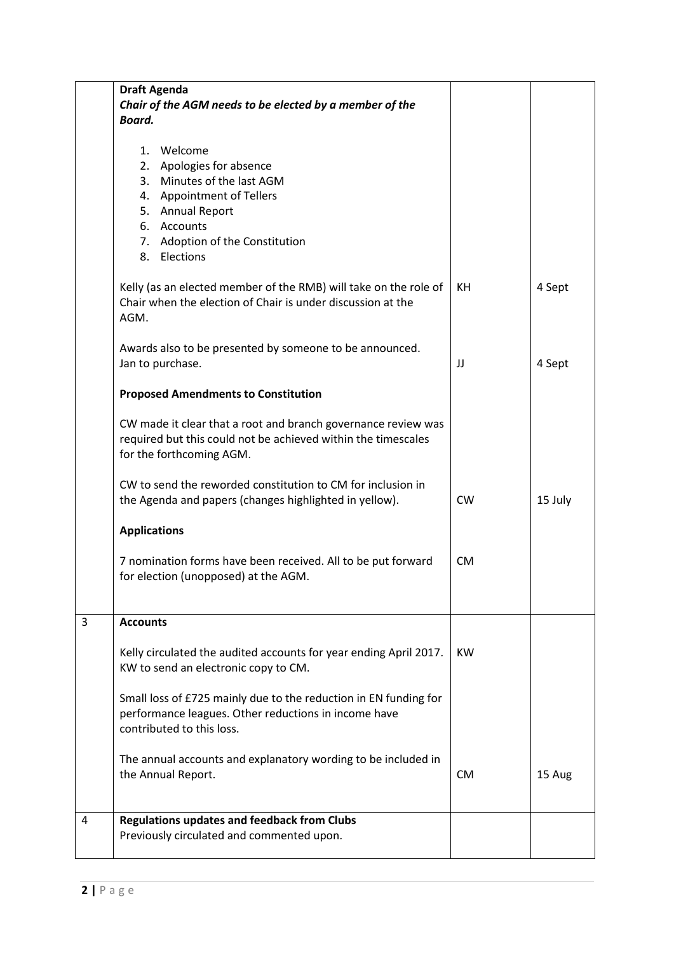|   | <b>Draft Agenda</b>                                                                                                                                        |           |         |
|---|------------------------------------------------------------------------------------------------------------------------------------------------------------|-----------|---------|
|   | Chair of the AGM needs to be elected by a member of the<br>Board.                                                                                          |           |         |
|   |                                                                                                                                                            |           |         |
|   | 1. Welcome                                                                                                                                                 |           |         |
|   | 2. Apologies for absence                                                                                                                                   |           |         |
|   | 3. Minutes of the last AGM                                                                                                                                 |           |         |
|   | 4. Appointment of Tellers<br>5. Annual Report                                                                                                              |           |         |
|   | 6. Accounts                                                                                                                                                |           |         |
|   | 7. Adoption of the Constitution                                                                                                                            |           |         |
|   | 8. Elections                                                                                                                                               |           |         |
|   | Kelly (as an elected member of the RMB) will take on the role of<br>Chair when the election of Chair is under discussion at the<br>AGM.                    | KH        | 4 Sept  |
|   | Awards also to be presented by someone to be announced.<br>Jan to purchase.                                                                                | JJ        | 4 Sept  |
|   | <b>Proposed Amendments to Constitution</b>                                                                                                                 |           |         |
|   | CW made it clear that a root and branch governance review was<br>required but this could not be achieved within the timescales<br>for the forthcoming AGM. |           |         |
|   | CW to send the reworded constitution to CM for inclusion in<br>the Agenda and papers (changes highlighted in yellow).                                      | <b>CW</b> | 15 July |
|   | <b>Applications</b>                                                                                                                                        |           |         |
|   | 7 nomination forms have been received. All to be put forward<br>for election (unopposed) at the AGM.                                                       | <b>CM</b> |         |
| 3 | <b>Accounts</b>                                                                                                                                            |           |         |
|   | Kelly circulated the audited accounts for year ending April 2017.<br>KW to send an electronic copy to CM.                                                  | KW        |         |
|   | Small loss of £725 mainly due to the reduction in EN funding for<br>performance leagues. Other reductions in income have<br>contributed to this loss.      |           |         |
|   | The annual accounts and explanatory wording to be included in<br>the Annual Report.                                                                        | <b>CM</b> | 15 Aug  |
| 4 | <b>Regulations updates and feedback from Clubs</b>                                                                                                         |           |         |
|   | Previously circulated and commented upon.                                                                                                                  |           |         |
|   |                                                                                                                                                            |           |         |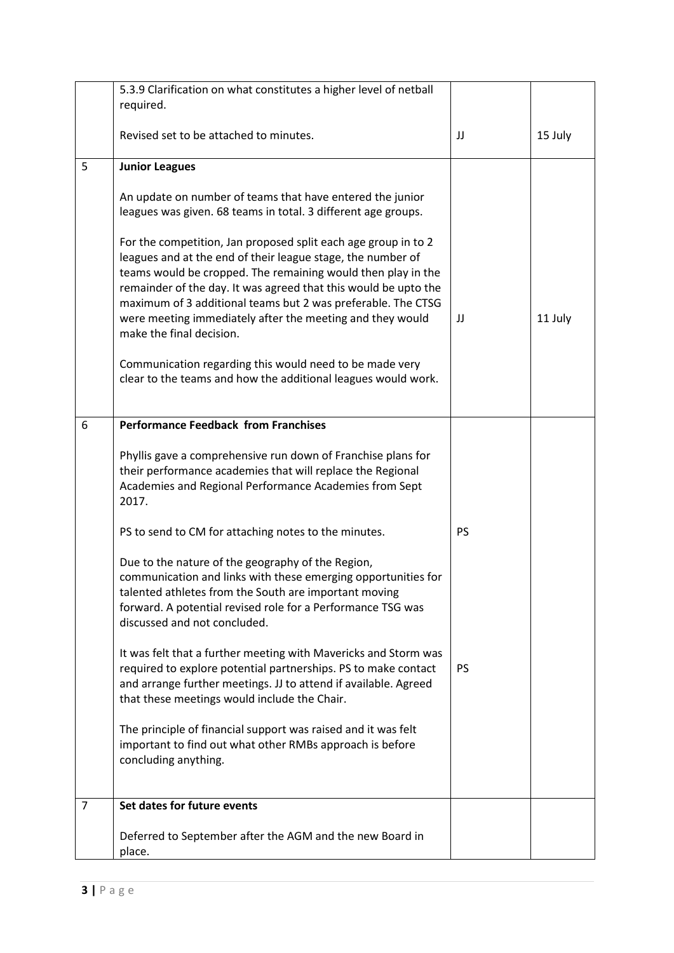|                | 5.3.9 Clarification on what constitutes a higher level of netball<br>required.                                                                                                                                                                                                                                                                                                                                            |           |         |
|----------------|---------------------------------------------------------------------------------------------------------------------------------------------------------------------------------------------------------------------------------------------------------------------------------------------------------------------------------------------------------------------------------------------------------------------------|-----------|---------|
|                | Revised set to be attached to minutes.                                                                                                                                                                                                                                                                                                                                                                                    | IJ        | 15 July |
| 5              | <b>Junior Leagues</b>                                                                                                                                                                                                                                                                                                                                                                                                     |           |         |
|                | An update on number of teams that have entered the junior<br>leagues was given. 68 teams in total. 3 different age groups.                                                                                                                                                                                                                                                                                                |           |         |
|                | For the competition, Jan proposed split each age group in to 2<br>leagues and at the end of their league stage, the number of<br>teams would be cropped. The remaining would then play in the<br>remainder of the day. It was agreed that this would be upto the<br>maximum of 3 additional teams but 2 was preferable. The CTSG<br>were meeting immediately after the meeting and they would<br>make the final decision. | IJ        | 11 July |
|                | Communication regarding this would need to be made very<br>clear to the teams and how the additional leagues would work.                                                                                                                                                                                                                                                                                                  |           |         |
| 6              | <b>Performance Feedback from Franchises</b>                                                                                                                                                                                                                                                                                                                                                                               |           |         |
|                | Phyllis gave a comprehensive run down of Franchise plans for<br>their performance academies that will replace the Regional<br>Academies and Regional Performance Academies from Sept<br>2017.                                                                                                                                                                                                                             |           |         |
|                | PS to send to CM for attaching notes to the minutes.                                                                                                                                                                                                                                                                                                                                                                      | PS        |         |
|                | Due to the nature of the geography of the Region,<br>communication and links with these emerging opportunities for<br>talented athletes from the South are important moving<br>forward. A potential revised role for a Performance TSG was<br>discussed and not concluded.                                                                                                                                                |           |         |
|                | It was felt that a further meeting with Mavericks and Storm was<br>required to explore potential partnerships. PS to make contact<br>and arrange further meetings. JJ to attend if available. Agreed<br>that these meetings would include the Chair.                                                                                                                                                                      | <b>PS</b> |         |
|                | The principle of financial support was raised and it was felt<br>important to find out what other RMBs approach is before<br>concluding anything.                                                                                                                                                                                                                                                                         |           |         |
| $\overline{7}$ | Set dates for future events                                                                                                                                                                                                                                                                                                                                                                                               |           |         |
|                | Deferred to September after the AGM and the new Board in<br>place.                                                                                                                                                                                                                                                                                                                                                        |           |         |